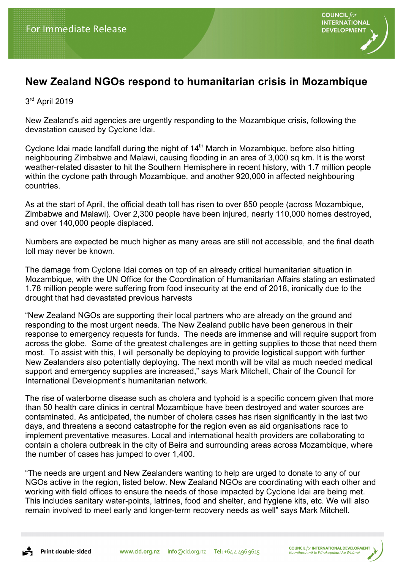

## **New Zealand NGOs respond to humanitarian crisis in Mozambique**

3<sup>rd</sup> April 2019

New Zealand's aid agencies are urgently responding to the Mozambique crisis, following the devastation caused by Cyclone Idai.

Cyclone Idai made landfall during the night of  $14<sup>th</sup>$  March in Mozambique, before also hitting neighbouring Zimbabwe and Malawi, causing flooding in an area of 3,000 sq km. It is the worst weather-related disaster to hit the Southern Hemisphere in recent history, with 1.7 million people within the cyclone path through Mozambique, and another 920,000 in affected neighbouring countries.

As at the start of April, the official death toll has risen to over 850 people (across Mozambique, Zimbabwe and Malawi). Over 2,300 people have been injured, nearly 110,000 homes destroyed, and over 140,000 people displaced.

Numbers are expected be much higher as many areas are still not accessible, and the final death toll may never be known.

The damage from Cyclone Idai comes on top of an already critical humanitarian situation in Mozambique, with the UN Office for the Coordination of Humanitarian Affairs stating an estimated 1.78 million people were suffering from food insecurity at the end of 2018, ironically due to the drought that had devastated previous harvests

"New Zealand NGOs are supporting their local partners who are already on the ground and responding to the most urgent needs. The New Zealand public have been generous in their response to emergency requests for funds. The needs are immense and will require support from across the globe. Some of the greatest challenges are in getting supplies to those that need them most. To assist with this, I will personally be deploying to provide logistical support with further New Zealanders also potentially deploying. The next month will be vital as much needed medical support and emergency supplies are increased," says Mark Mitchell, Chair of the Council for International Development's humanitarian network.

The rise of waterborne disease such as cholera and typhoid is a specific concern given that more than 50 health care clinics in central Mozambique have been destroyed and water sources are contaminated. As anticipated, the number of cholera cases has risen significantly in the last two days, and threatens a second catastrophe for the region even as aid organisations race to implement preventative measures. Local and international health providers are collaborating to contain a cholera outbreak in the city of Beira and surrounding areas across Mozambique, where the number of cases has jumped to over 1,400.

"The needs are urgent and New Zealanders wanting to help are urged to donate to any of our NGOs active in the region, listed below. New Zealand NGOs are coordinating with each other and working with field offices to ensure the needs of those impacted by Cyclone Idai are being met. This includes sanitary water-points, latrines, food and shelter, and hygiene kits, etc. We will also remain involved to meet early and longer-term recovery needs as well" says Mark Mitchell.